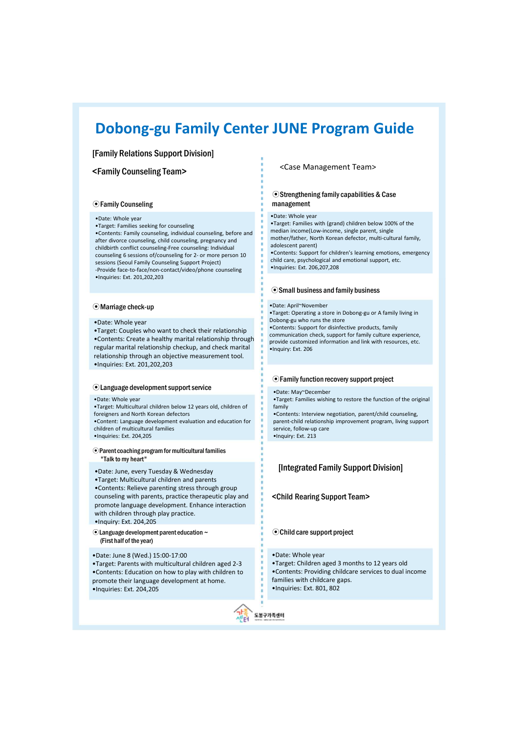# **Dobong-gu Family Center JUNE Program Guide**

# [Family Relations Support Division]

# <Family Counseling Team>

# ⊙Family Counseling

# •Date: Whole year

•Target: Families seeking for counseling •Contents: Family counseling, individual counseling, before and after divorce counseling, child counseling, pregnancy and childbirth conflict counseling-Free counseling: Individual counseling 6 sessions of/counseling for 2- or more person 10 sessions (Seoul Family Counseling Support Project)

-Provide face-to-face/non-contact/video/phone counseling •Inquiries: Ext. 201,202,203

### ⊙Marriage check-up

•Date: Whole year

•Target: Couples who want to check their relationship •Contents: Create a healthy marital relationship through regular marital relationship checkup, and check marital relationship through an objective measurement tool. •Inquiries: Ext. 201,202,203

### ⊙Language development support service

### •Date: Whole year

- •Target: Multicultural children below 12 years old, children of
- foreigners and North Korean defectors •Content: Language development evaluation and education for
- children of multicultural families •Inquiries: Ext. 204,205
- 

# ⊙Parent coaching program for multicultural families "Talk to my heart"

- •Date: June, every Tuesday & Wednesday
- •Target: Multicultural children and parents

•Contents: Relieve parenting stress through group counseling with parents, practice therapeutic play and promote language development. Enhance interaction with children through play practice.

- •Inquiry: Ext. 204,205
- ⊙Language development parent education ~ (First half of the year)
- •Date: June 8 (Wed.) 15:00-17:00

•Target: Parents with multicultural children aged 2-3 •Contents: Education on how to play with children to promote their language development at home. •Inquiries: Ext. 204,205



# <Case Management Team>

# ⊙Strengthening family capabilities & Case management

### •Date: Whole year

•Target: Families with (grand) children below 100% of the median income(Low-income, single parent, single mother/father, North Korean defector, multi-cultural family, adolescent parent) •Contents: Support for children's learning emotions, emergency

child care, psychological and emotional support, etc. •Inquiries: Ext. 206,207,208

# ⊙Small business and family business

#### •Date: April~November

•Target: Operating a store in Dobong-gu or A family living in Dobong-gu who runs the store

•Contents: Support for disinfective products, family communication check, support for family culture experience, provide customized information and link with resources, etc. •Inquiry: Ext. 206

# ⊙Family function recovery support project

#### •Date: May~December

•Target: Families wishing to restore the function of the original family •Contents: Interview negotiation, parent/child counseling,

parent-child relationship improvement program, living support service, follow-up care •Inquiry: Ext. 213

# [Integrated Family Support Division]

<Child Rearing Support Team>

# ⊙Child care support project

•Date: Whole year

•Target: Children aged 3 months to 12 years old •Contents: Providing childcare services to dual income families with childcare gaps.

•Inquiries: Ext. 801, 802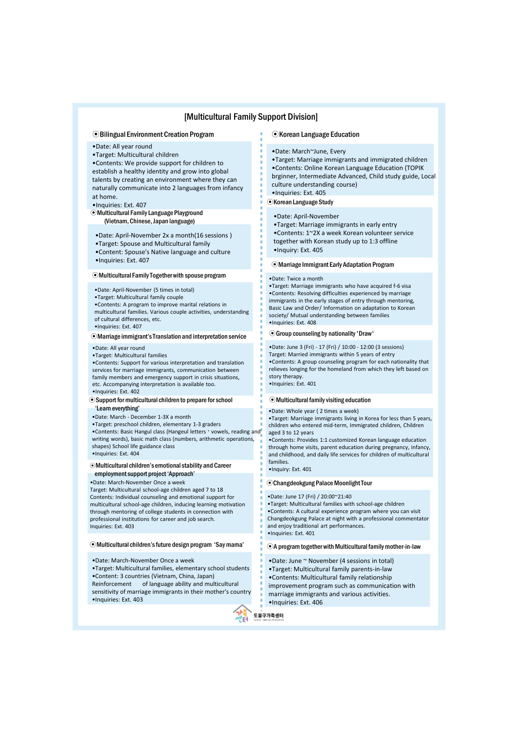# [Multicultural Family Support Division]

### ⊙Bilingual Environment Creation Program

- •Date: All year round
- •Target: Multicultural children

•Contents: We provide support for children to establish a healthy identity and grow into global talents by creating an environment where they can naturally communicate into 2 languages from infancy at home.

•Inquiries: Ext. 407

⊙Multicultural Family Language Playground (Vietnam, Chinese, Japan language)

- •Date: April-November 2x a month(16 sessions )
- •Target: Spouse and Multicultural family
- •Content: Spouse's Native language and culture
- •Inquiries: Ext. 407

### ⊙Multicultural Family Together with spouse program

- •Date: April-November (5 times in total)
- •Target: Multicultural family couple
- •Contents: A program to improve marital relations in multicultural families. Various couple activities, understanding
- of cultural differences, etc. •Inquiries: Ext. 407

### ⊙Marriage immigrant's Translation and interpretation service

# •Date: All year round

•Target: Multicultural families

•Contents: Support for various interpretation and translation services for marriage immigrants, communication between family members and emergency support in crisis situations, etc. Accompanying interpretation is available too. •Inquiries: Ext. 402

#### ⊙Support for multicultural children to prepare for school 'Learn everything'

- •Date: March December 1-3X a month
- •Target: preschool children, elementary 1-3 graders
- •Contents: Basic Hangul class (Hangeul letters · vowels, reading and writing words), basic math class (numbers, arithmetic operations, shapes) School life guidance class
- •Inquiries: Ext. 404

# ⊙Multicultural children's emotional stability and Career employment support project 'Approach'

•Date: March-November Once a week

Target: Multicultural school-age children aged 7 to 18 Contents: Individual counseling and emotional support for multicultural school-age children, inducing learning motivation through mentoring of college students in connection with professional institutions for career and job search. Inquiries: Ext. 403

### ⊙Multicultural children's future design program 'Say mama'

- •Date: March-November Once a week
- •Target: Multicultural families, elementary school students •Content: 3 countries (Vietnam, China, Japan)

Reinforcement of language ability and multicultural sensitivity of marriage immigrants in their mother's country •Inquiries: Ext. 403



#### ⊙Korean Language Education

#### •Date: March~June, Every

- •Target: Marriage immigrants and immigrated children
- •Contents: Online Korean Language Education (TOPIK
- brginner, Intermediate Advanced, Child study guide, Local culture understanding course)
- •Inquiries: Ext. 405

### ⊙Korean Language Study

#### •Date: April-November

•Target: Marriage immigrants in early entry •Contents: 1~2X a week Korean volunteer service together with Korean study up to 1:3 offline •Inquiry: Ext. 405

## ⊙Marriage Immigrant Early Adaptation Program

#### •Date: Twice a month

•Target: Marriage immigrants who have acquired f-6 visa •Contents: Resolving difficulties experienced by marriage immigrants in the early stages of entry through mentoring, Basic Law and Order/ Information on adaptation to Korean society/ Mutual understanding between families •Inquiries: Ext. 408

### ⊙Group counseling by nationality 'Draw'

•Date: June 3 (Fri) - 17 (Fri) / 10:00 - 12:00 (3 sessions) Target: Married immigrants within 5 years of entry

•Contents: A group counseling program for each nationality that relieves longing for the homeland from which they left based on story therapy.

•Inquiries: Ext. 401

# ⊙Multicultural family visiting education

#### •Date: Whole year ( 2 times a week)

•Target: Marriage immigrants living in Korea for less than 5 years, children who entered mid-term, Immigrated children, Children aged 3 to 12 years

•Contents: Provides 1:1 customized Korean language education through home visits, parent education during pregnancy, infancy, and childhood, and daily life services for children of multicultural families.

•Inquiry: Ext. 401

### ⊙Changdeokgung Palace Moonlight Tour

#### •Date: June 17 (Fri) / 20:00~21:40

•Target: Multicultural families with school-age children •Contents: A cultural experience program where you can visit Changdeokgung Palace at night with a professional commentator and enjoy traditional art performances. •Inquiries: Ext. 401

### ⊙A program together with Multicultural family mother-in-law

- •Date: June ~ November (4 sessions in total) •Target: Multicultural family parents-in-law •Contents: Multicultural family relationship improvement program such as communication with marriage immigrants and various activities. •Inquiries: Ext. 406
- 도봉구가족센터